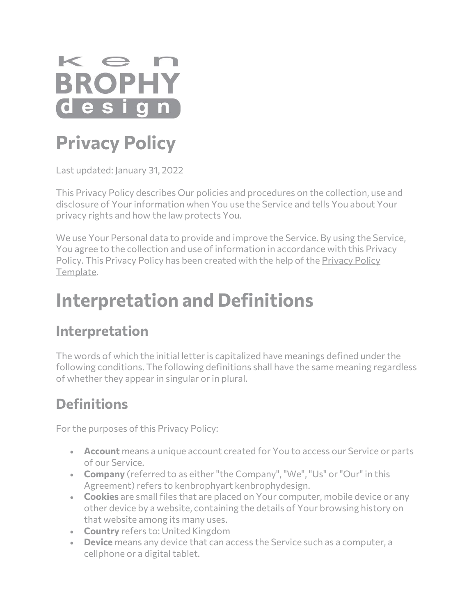

# **Privacy Policy**

Last updated: January 31, 2022

This Privacy Policy describes Our policies and procedures on the collection, use and disclosure of Your information when You use the Service and tells You about Your privacy rights and how the law protects You.

We use Your Personal data to provide and improve the Service. By using the Service, You agree to the collection and use of information in accordance with this Privacy Policy. This Privacy Policy has been created with the help of the [Privacy Policy](https://www.freeprivacypolicy.com/blog/sample-privacy-policy-template/)  [Template.](https://www.freeprivacypolicy.com/blog/sample-privacy-policy-template/)

## **Interpretation and Definitions**

### **Interpretation**

The words of which the initial letter is capitalized have meanings defined under the following conditions. The following definitions shall have the same meaning regardless of whether they appear in singular or in plural.

### **Definitions**

For the purposes of this Privacy Policy:

- **Account** means a unique account created for You to access our Service or parts of our Service.
- **Company** (referred to as either "the Company", "We", "Us" or "Our" in this Agreement) refers to kenbrophyart kenbrophydesign.
- **Cookies** are small files that are placed on Your computer, mobile device or any other device by a website, containing the details of Your browsing history on that website among its many uses.
- **Country** refers to: United Kingdom
- **Device** means any device that can access the Service such as a computer, a cellphone or a digital tablet.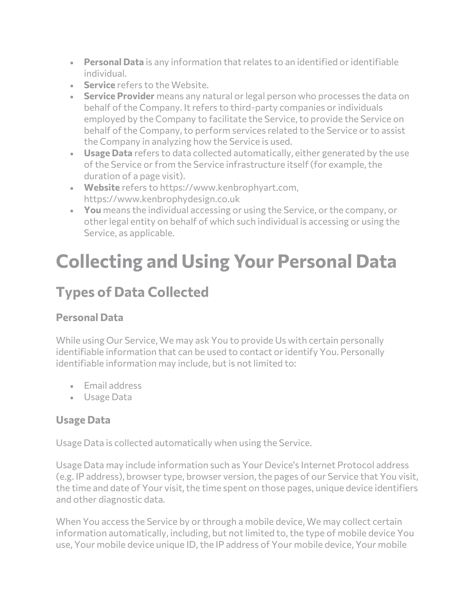- **Personal Data** is any information that relates to an identified or identifiable individual.
- **Service** refers to the Website.
- **Service Provider** means any natural or legal person who processes the data on behalf of the Company. It refers to third-party companies or individuals employed by the Company to facilitate the Service, to provide the Service on behalf of the Company, to perform services related to the Service or to assist the Company in analyzing how the Service is used.
- **Usage Data** refers to data collected automatically, either generated by the use of the Service or from the Service infrastructure itself (for example, the duration of a page visit).
- **Website** refers to https://www.kenbrophyart.com, https://www.kenbrophydesign.co.uk
- **You** means the individual accessing or using the Service, or the company, or other legal entity on behalf of which such individual is accessing or using the Service, as applicable.

# **Collecting and Using Your Personal Data**

## **Types of Data Collected**

### **Personal Data**

While using Our Service, We may ask You to provide Us with certain personally identifiable information that can be used to contact or identify You. Personally identifiable information may include, but is not limited to:

- Email address
- Usage Data

### **Usage Data**

Usage Data is collected automatically when using the Service.

Usage Data may include information such as Your Device's Internet Protocol address (e.g. IP address), browser type, browser version, the pages of our Service that You visit, the time and date of Your visit, the time spent on those pages, unique device identifiers and other diagnostic data.

When You access the Service by or through a mobile device, We may collect certain information automatically, including, but not limited to, the type of mobile device You use, Your mobile device unique ID, the IP address of Your mobile device, Your mobile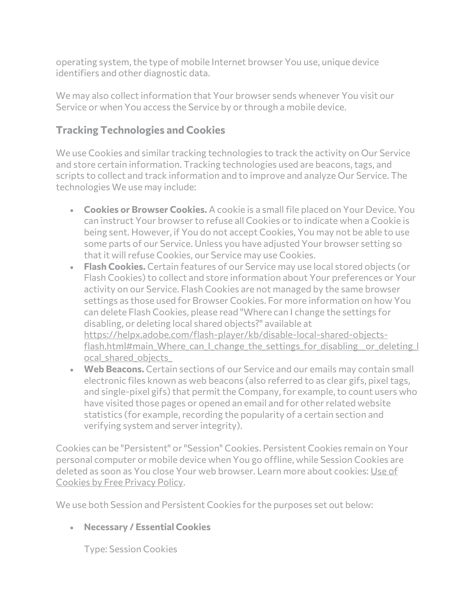operating system, the type of mobile Internet browser You use, unique device identifiers and other diagnostic data.

We may also collect information that Your browser sends whenever You visit our Service or when You access the Service by or through a mobile device.

### **Tracking Technologies and Cookies**

We use Cookies and similar tracking technologies to track the activity on Our Service and store certain information. Tracking technologies used are beacons, tags, and scripts to collect and track information and to improve and analyze Our Service. The technologies We use may include:

- **Cookies or Browser Cookies.** A cookie is a small file placed on Your Device. You can instruct Your browser to refuse all Cookies or to indicate when a Cookie is being sent. However, if You do not accept Cookies, You may not be able to use some parts of our Service. Unless you have adjusted Your browser setting so that it will refuse Cookies, our Service may use Cookies.
- **Flash Cookies.** Certain features of our Service may use local stored objects (or Flash Cookies) to collect and store information about Your preferences or Your activity on our Service. Flash Cookies are not managed by the same browser settings as those used for Browser Cookies. For more information on how You can delete Flash Cookies, please read "Where can I change the settings for disabling, or deleting local shared objects?" available at [https://helpx.adobe.com/flash-player/kb/disable-local-shared-objects](https://helpx.adobe.com/flash-player/kb/disable-local-shared-objects-flash.html#main_Where_can_I_change_the_settings_for_disabling__or_deleting_local_shared_objects_)flash.html#main\_Where\_can\_I\_change\_the\_settings\_for\_disabling\_or\_deleting\_I\_ [ocal\\_shared\\_objects\\_](https://helpx.adobe.com/flash-player/kb/disable-local-shared-objects-flash.html#main_Where_can_I_change_the_settings_for_disabling__or_deleting_local_shared_objects_)
- **Web Beacons.** Certain sections of our Service and our emails may contain small electronic files known as web beacons (also referred to as clear gifs, pixel tags, and single-pixel gifs) that permit the Company, for example, to count users who have visited those pages or opened an email and for other related website statistics (for example, recording the popularity of a certain section and verifying system and server integrity).

Cookies can be "Persistent" or "Session" Cookies. Persistent Cookies remain on Your personal computer or mobile device when You go offline, while Session Cookies are deleted as soon as You close Your web browser. Learn more about cookies[: Use of](https://www.freeprivacypolicy.com/blog/sample-privacy-policy-template/#Use_Of_Cookies_And_Tracking)  [Cookies by Free Privacy Policy.](https://www.freeprivacypolicy.com/blog/sample-privacy-policy-template/#Use_Of_Cookies_And_Tracking)

We use both Session and Persistent Cookies for the purposes set out below:

#### **Necessary / Essential Cookies**

Type: Session Cookies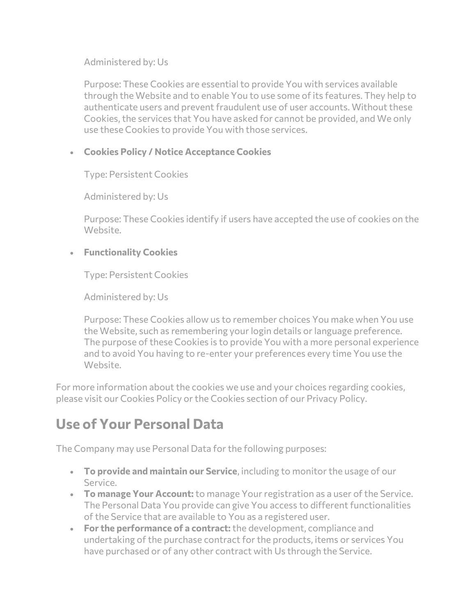Administered by: Us

Purpose: These Cookies are essential to provide You with services available through the Website and to enable You to use some of its features. They help to authenticate users and prevent fraudulent use of user accounts. Without these Cookies, the services that You have asked for cannot be provided, and We only use these Cookies to provide You with those services.

#### **Cookies Policy / Notice Acceptance Cookies**

Type: Persistent Cookies

Administered by: Us

Purpose: These Cookies identify if users have accepted the use of cookies on the Website.

#### **Functionality Cookies**

Type: Persistent Cookies

Administered by: Us

Purpose: These Cookies allow us to remember choices You make when You use the Website, such as remembering your login details or language preference. The purpose of these Cookies is to provide You with a more personal experience and to avoid You having to re-enter your preferences every time You use the Website.

For more information about the cookies we use and your choices regarding cookies, please visit our Cookies Policy or the Cookies section of our Privacy Policy.

### **Use of Your Personal Data**

The Company may use Personal Data for the following purposes:

- **To provide and maintain our Service**, including to monitor the usage of our Service.
- **To manage Your Account:** to manage Your registration as a user of the Service. The Personal Data You provide can give You access to different functionalities of the Service that are available to You as a registered user.
- **For the performance of a contract:** the development, compliance and undertaking of the purchase contract for the products, items or services You have purchased or of any other contract with Us through the Service.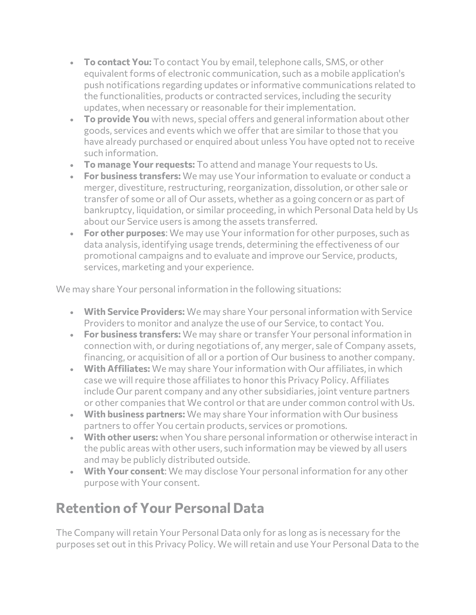- **To contact You:** To contact You by email, telephone calls, SMS, or other equivalent forms of electronic communication, such as a mobile application's push notifications regarding updates or informative communications related to the functionalities, products or contracted services, including the security updates, when necessary or reasonable for their implementation.
- **To provide You** with news, special offers and general information about other goods, services and events which we offer that are similar to those that you have already purchased or enquired about unless You have opted not to receive such information.
- **To manage Your requests:** To attend and manage Your requests to Us.
- **For business transfers:** We may use Your information to evaluate or conduct a merger, divestiture, restructuring, reorganization, dissolution, or other sale or transfer of some or all of Our assets, whether as a going concern or as part of bankruptcy, liquidation, or similar proceeding, in which Personal Data held by Us about our Service users is among the assets transferred.
- **For other purposes**: We may use Your information for other purposes, such as data analysis, identifying usage trends, determining the effectiveness of our promotional campaigns and to evaluate and improve our Service, products, services, marketing and your experience.

We may share Your personal information in the following situations:

- **With Service Providers:** We may share Your personal information with Service Providers to monitor and analyze the use of our Service, to contact You.
- **For business transfers:** We may share or transfer Your personal information in connection with, or during negotiations of, any merger, sale of Company assets, financing, or acquisition of all or a portion of Our business to another company.
- **With Affiliates:** We may share Your information with Our affiliates, in which case we will require those affiliates to honor this Privacy Policy. Affiliates include Our parent company and any other subsidiaries, joint venture partners or other companies that We control or that are under common control with Us.
- **With business partners:** We may share Your information with Our business partners to offer You certain products, services or promotions.
- **With other users:** when You share personal information or otherwise interact in the public areas with other users, such information may be viewed by all users and may be publicly distributed outside.
- **With Your consent**: We may disclose Your personal information for any other purpose with Your consent.

## **Retention of Your Personal Data**

The Company will retain Your Personal Data only for as long as is necessary for the purposes set out in this Privacy Policy. We will retain and use Your Personal Data to the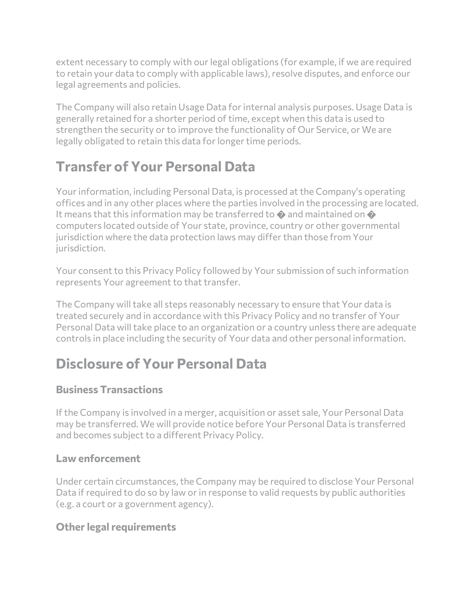extent necessary to comply with our legal obligations (for example, if we are required to retain your data to comply with applicable laws), resolve disputes, and enforce our legal agreements and policies.

The Company will also retain Usage Data for internal analysis purposes. Usage Data is generally retained for a shorter period of time, except when this data is used to strengthen the security or to improve the functionality of Our Service, or We are legally obligated to retain this data for longer time periods.

## **Transfer of Your Personal Data**

Your information, including Personal Data, is processed at the Company's operating offices and in any other places where the parties involved in the processing are located. It means that this information may be transferred to  $\bullet$  and maintained on  $\bullet$ computers located outside of Your state, province, country or other governmental jurisdiction where the data protection laws may differ than those from Your jurisdiction.

Your consent to this Privacy Policy followed by Your submission of such information represents Your agreement to that transfer.

The Company will take all steps reasonably necessary to ensure that Your data is treated securely and in accordance with this Privacy Policy and no transfer of Your Personal Data will take place to an organization or a country unless there are adequate controls in place including the security of Your data and other personal information.

### **Disclosure of Your Personal Data**

### **Business Transactions**

If the Company is involved in a merger, acquisition or asset sale, Your Personal Data may be transferred. We will provide notice before Your Personal Data is transferred and becomes subject to a different Privacy Policy.

### **Law enforcement**

Under certain circumstances, the Company may be required to disclose Your Personal Data if required to do so by law or in response to valid requests by public authorities (e.g. a court or a government agency).

### **Other legal requirements**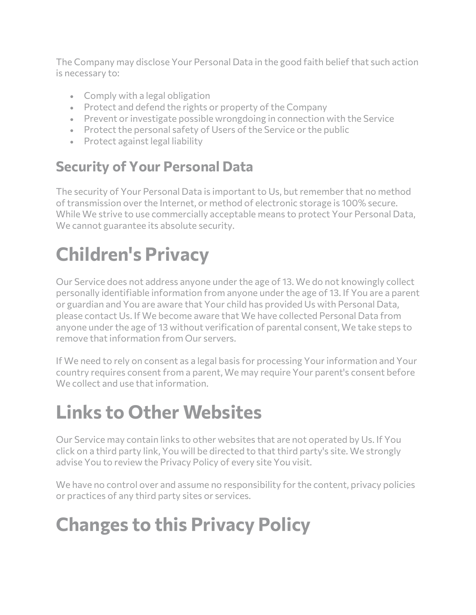The Company may disclose Your Personal Data in the good faith belief that such action is necessary to:

- Comply with a legal obligation
- Protect and defend the rights or property of the Company
- Prevent or investigate possible wrongdoing in connection with the Service
- Protect the personal safety of Users of the Service or the public
- Protect against legal liability

## **Security of Your Personal Data**

The security of Your Personal Data is important to Us, but remember that no method of transmission over the Internet, or method of electronic storage is 100% secure. While We strive to use commercially acceptable means to protect Your Personal Data, We cannot guarantee its absolute security.

# **Children's Privacy**

Our Service does not address anyone under the age of 13. We do not knowingly collect personally identifiable information from anyone under the age of 13. If You are a parent or guardian and You are aware that Your child has provided Us with Personal Data, please contact Us. If We become aware that We have collected Personal Data from anyone under the age of 13 without verification of parental consent, We take steps to remove that information from Our servers.

If We need to rely on consent as a legal basis for processing Your information and Your country requires consent from a parent, We may require Your parent's consent before We collect and use that information.

# **Links to Other Websites**

Our Service may contain links to other websites that are not operated by Us. If You click on a third party link, You will be directed to that third party's site. We strongly advise You to review the Privacy Policy of every site You visit.

We have no control over and assume no responsibility for the content, privacy policies or practices of any third party sites or services.

## **Changes to this Privacy Policy**